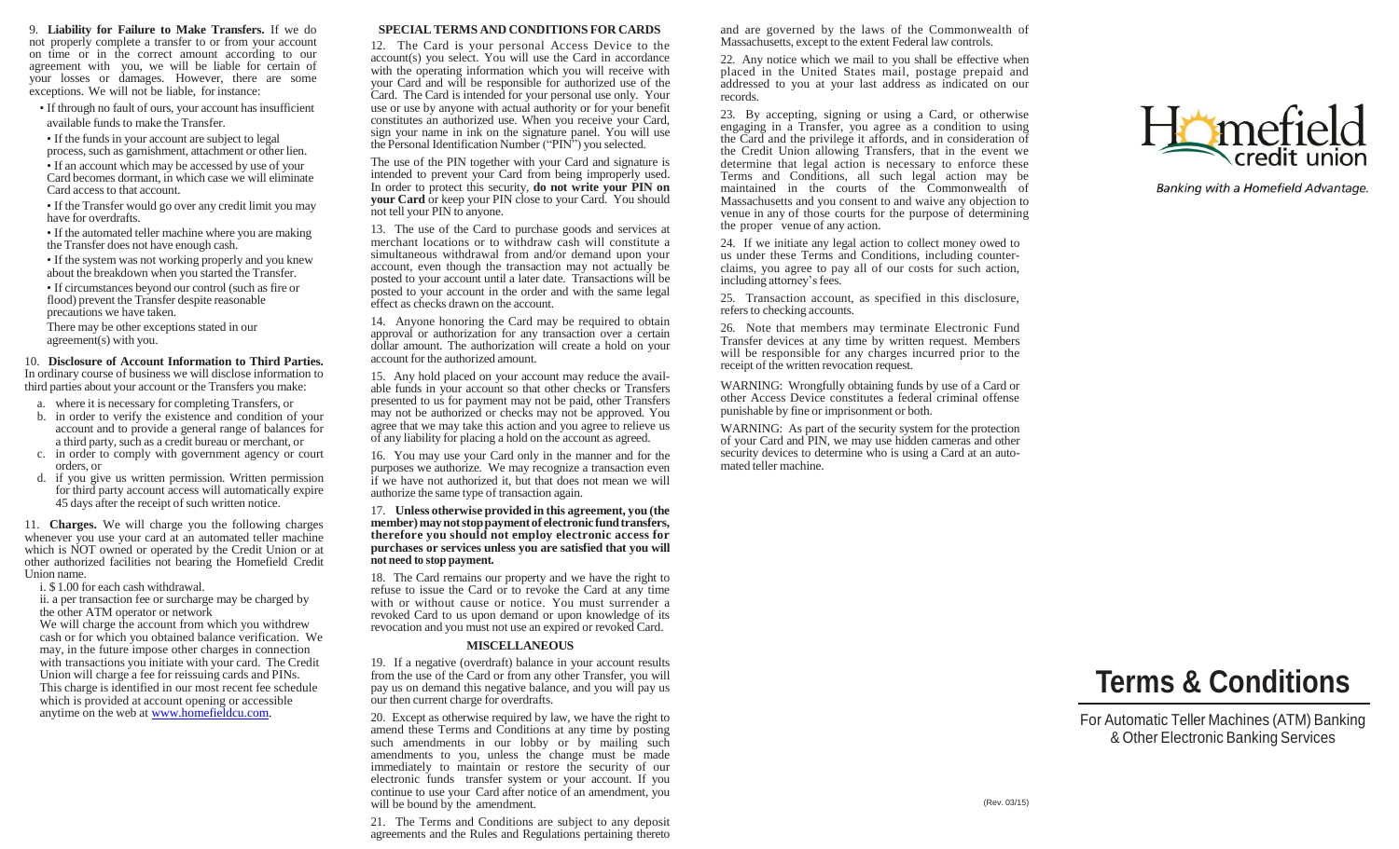9. **Liability for Failure to Make Transfers.** If we do not properly complete a transfer to or from your account on time or in the correct amount according to our agreement with you, we will be liable for certain of your losses or damages. However, there are some exceptions. We will not be liable, for instance:

- If through no fault of ours, your account has insufficient available funds to make the Transfer.
- If the funds in your account are subject to legal process, such as garnishment, attachment or other lien.
- If an account which may be accessed by use of your Card becomes dormant, in which case we will eliminate Card accessto that account.
- If the Transfer would go over any credit limit you may have for overdrafts.
- If the automated teller machine where you are making the Transfer does not have enough cash.
- If the system was not working properly and you knew about the breakdown when you started the Transfer.
- If circumstances beyond our control (such as fire or flood) prevent the Transfer despite reasonable precautions we have taken.
- There may be other exceptions stated in our agreement(s) with you.

10. **Disclosure of Account Information to Third Parties.** In ordinary course of business we will disclose information to third parties about your account or the Transfers you make:

- a. where it is necessary for completing Transfers, or
- b. in order to verify the existence and condition of your account and to provide a general range of balances for a third party, such as a credit bureau or merchant, or
- c. in order to comply with government agency or court orders, or
- d. if you give us written permission. Written permission for third party account access will automatically expire 45 days after the receipt of such written notice.

11. **Charges.** We will charge you the following charges whenever you use your card at an automated teller machine which is NOT owned or operated by the Credit Union or at other authorized facilities not bearing the Homefield Credit Union name.

- i. \$ 1.00 for each cash withdrawal.
- ii. a per transaction fee or surcharge may be charged by the other ATM operator or network

We will charge the account from which you withdrew cash or for which you obtained balance verification. We may, in the future impose other charges in connection with transactions you initiate with your card. The Credit Union will charge a fee for reissuing cards and PINs. This charge is identified in our most recent fee schedule which is provided at account opening or accessible anytime on the web at [www.homefieldcu.com.](http://www.homefieldcu.com/)

## **SPECIAL TERMS AND CONDITIONS FOR CARDS**

12. The Card is your personal Access Device to the account(s) you select. You will use the Card in accordance with the operating information which you will receive with your Card and will be responsible for authorized use of the Card. The Card is intended for your personal use only. Your use or use by anyone with actual authority or for your benefit constitutes an authorized use. When you receive your Card, sign your name in ink on the signature panel. You will use the Personal Identification Number ("PIN") you selected.

The use of the PIN together with your Card and signature is intended to prevent your Card from being improperly used. In order to protect this security, **do not write your PIN on your Card** or keep your PIN close to your Card. You should not tell your PIN to anyone.

13. The use of the Card to purchase goods and services at merchant locations or to withdraw cash will constitute a simultaneous withdrawal from and/or demand upon your account, even though the transaction may not actually be posted to your account until a later date. Transactions will be posted to your account in the order and with the same legal effect as checks drawn on the account.

14. Anyone honoring the Card may be required to obtain approval or authorization for any transaction over a certain dollar amount. The authorization will create a hold on your account for the authorized amount.

15. Any hold placed on your account may reduce the available funds in your account so that other checks or Transfers presented to us for payment may not be paid, other Transfers may not be authorized or checks may not be approved. You agree that we may take this action and you agree to relieve us of any liability for placing a hold on the account as agreed.

16. You may use your Card only in the manner and for the purposes we authorize. We may recognize a transaction even if we have not authorized it, but that does not mean we will authorize the same type of transaction again.

17. **Unless otherwise provided in this agreement, you (the member)maynotstoppaymentof electronic fundtransfers, therefore you should not employ electronic access for purchases or services unless you are satisfied that you will not need to stop payment.**

18. The Card remains our property and we have the right to refuse to issue the Card or to revoke the Card at any time with or without cause or notice. You must surrender a revoked Card to us upon demand or upon knowledge of its revocation and you must not use an expired or revoked Card.

## **MISCELLANEOUS**

19. If a negative (overdraft) balance in your account results from the use of the Card or from any other Transfer, you will pay us on demand this negative balance, and you will pay us our then current charge for overdrafts.

20. Except as otherwise required by law, we have the right to amend these Terms and Conditions at any time by posting such amendments in our lobby or by mailing such amendments to you, unless the change must be made immediately to maintain or restore the security of our electronic funds transfer system or your account. If you continue to use your Card after notice of an amendment, you will be bound by the amendment.

21. The Terms and Conditions are subject to any deposit agreements and the Rules and Regulations pertaining thereto and are governed by the laws of the Commonwealth of Massachusetts, except to the extent Federal law controls.

22. Any notice which we mail to you shall be effective when placed in the United States mail, postage prepaid and addressed to you at your last address as indicated on our records.

23. By accepting, signing or using a Card, or otherwise engaging in a Transfer, you agree as a condition to using the Card and the privilege it affords, and in consideration of the Credit Union allowing Transfers, that in the event we determine that legal action is necessary to enforce these Terms and Conditions, all such legal action may be maintained in the courts of the Commonwealth of Massachusetts and you consent to and waive any objection to venue in any of those courts for the purpose of determining the proper venue of any action.

24. If we initiate any legal action to collect money owed to us under these Terms and Conditions, including counterclaims, you agree to pay all of our costs for such action, including attorney's fees.

25. Transaction account, as specified in this disclosure, refers to checking accounts.

26. Note that members may terminate Electronic Fund Transfer devices at any time by written request. Members will be responsible for any charges incurred prior to the receipt of the written revocation request.

WARNING: Wrongfully obtaining funds by use of a Card or other Access Device constitutes a federal criminal offense punishable by fine or imprisonment or both.

WARNING: As part of the security system for the protection of your Card and PIN, we may use hidden cameras and other security devices to determine who is using a Card at an automated teller machine.



Banking with a Homefield Advantage.

# **Terms & Conditions**

For Automatic Teller Machines (ATM) Banking & Other Electronic Banking Services